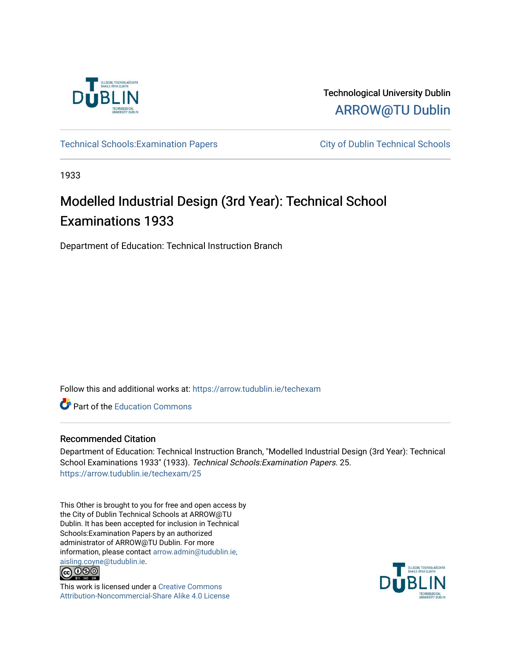

Technological University Dublin [ARROW@TU Dublin](https://arrow.tudublin.ie/) 

Technical Schools: Examination Papers City of Dublin Technical Schools

1933

# Modelled Industrial Design (3rd Year): Technical School Examinations 1933

Department of Education: Technical Instruction Branch

Follow this and additional works at: [https://arrow.tudublin.ie/techexam](https://arrow.tudublin.ie/techexam?utm_source=arrow.tudublin.ie%2Ftechexam%2F25&utm_medium=PDF&utm_campaign=PDFCoverPages) 

Part of the [Education Commons](http://network.bepress.com/hgg/discipline/784?utm_source=arrow.tudublin.ie%2Ftechexam%2F25&utm_medium=PDF&utm_campaign=PDFCoverPages)

# Recommended Citation

Department of Education: Technical Instruction Branch, "Modelled Industrial Design (3rd Year): Technical School Examinations 1933" (1933). Technical Schools:Examination Papers. 25. [https://arrow.tudublin.ie/techexam/25](https://arrow.tudublin.ie/techexam/25?utm_source=arrow.tudublin.ie%2Ftechexam%2F25&utm_medium=PDF&utm_campaign=PDFCoverPages)

This Other is brought to you for free and open access by the City of Dublin Technical Schools at ARROW@TU Dublin. It has been accepted for inclusion in Technical Schools:Examination Papers by an authorized administrator of ARROW@TU Dublin. For more information, please contact [arrow.admin@tudublin.ie,](mailto:arrow.admin@tudublin.ie,%20aisling.coyne@tudublin.ie)  [aisling.coyne@tudublin.ie.](mailto:arrow.admin@tudublin.ie,%20aisling.coyne@tudublin.ie)<br>© 090



This work is licensed under a [Creative Commons](http://creativecommons.org/licenses/by-nc-sa/4.0/) [Attribution-Noncommercial-Share Alike 4.0 License](http://creativecommons.org/licenses/by-nc-sa/4.0/)